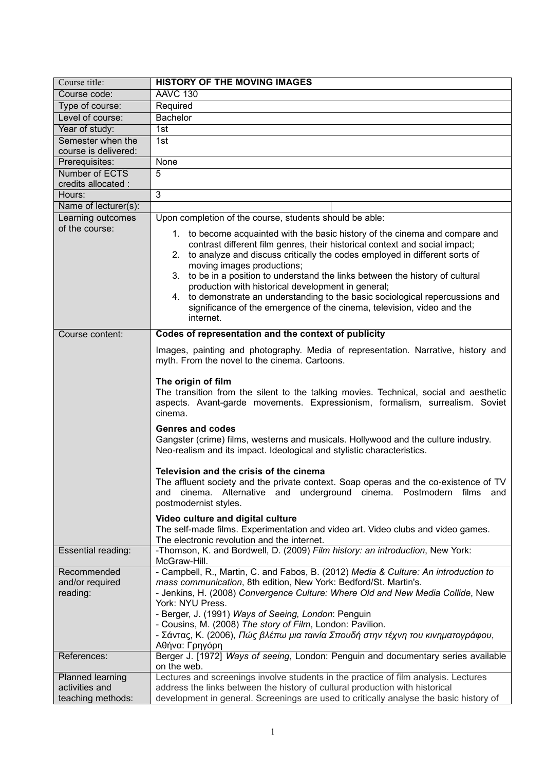| Course title:                                           | <b>HISTORY OF THE MOVING IMAGES</b>                                                                                                                                                                                                                                                                                                                                                                                                                                                                                                                                                                                                       |
|---------------------------------------------------------|-------------------------------------------------------------------------------------------------------------------------------------------------------------------------------------------------------------------------------------------------------------------------------------------------------------------------------------------------------------------------------------------------------------------------------------------------------------------------------------------------------------------------------------------------------------------------------------------------------------------------------------------|
| Course code:                                            | <b>AAVC 130</b>                                                                                                                                                                                                                                                                                                                                                                                                                                                                                                                                                                                                                           |
| Type of course:                                         | Required                                                                                                                                                                                                                                                                                                                                                                                                                                                                                                                                                                                                                                  |
| Level of course:                                        | <b>Bachelor</b>                                                                                                                                                                                                                                                                                                                                                                                                                                                                                                                                                                                                                           |
| Year of study:                                          | 1st                                                                                                                                                                                                                                                                                                                                                                                                                                                                                                                                                                                                                                       |
| Semester when the                                       | 1st                                                                                                                                                                                                                                                                                                                                                                                                                                                                                                                                                                                                                                       |
| course is delivered:                                    |                                                                                                                                                                                                                                                                                                                                                                                                                                                                                                                                                                                                                                           |
| Prerequisites:                                          | None                                                                                                                                                                                                                                                                                                                                                                                                                                                                                                                                                                                                                                      |
| <b>Number of ECTS</b>                                   | 5                                                                                                                                                                                                                                                                                                                                                                                                                                                                                                                                                                                                                                         |
| credits allocated :                                     |                                                                                                                                                                                                                                                                                                                                                                                                                                                                                                                                                                                                                                           |
| Hours:                                                  | 3                                                                                                                                                                                                                                                                                                                                                                                                                                                                                                                                                                                                                                         |
| Name of lecturer(s):                                    |                                                                                                                                                                                                                                                                                                                                                                                                                                                                                                                                                                                                                                           |
| Learning outcomes<br>of the course:                     | Upon completion of the course, students should be able:<br>1. to become acquainted with the basic history of the cinema and compare and<br>contrast different film genres, their historical context and social impact;<br>2. to analyze and discuss critically the codes employed in different sorts of<br>moving images productions;<br>3. to be in a position to understand the links between the history of cultural<br>production with historical development in general;<br>4. to demonstrate an understanding to the basic sociological repercussions and<br>significance of the emergence of the cinema, television, video and the |
|                                                         | internet.                                                                                                                                                                                                                                                                                                                                                                                                                                                                                                                                                                                                                                 |
| Course content:                                         | Codes of representation and the context of publicity                                                                                                                                                                                                                                                                                                                                                                                                                                                                                                                                                                                      |
|                                                         | Images, painting and photography. Media of representation. Narrative, history and<br>myth. From the novel to the cinema. Cartoons.                                                                                                                                                                                                                                                                                                                                                                                                                                                                                                        |
|                                                         | The origin of film<br>The transition from the silent to the talking movies. Technical, social and aesthetic<br>aspects. Avant-garde movements. Expressionism, formalism, surrealism. Soviet<br>cinema.                                                                                                                                                                                                                                                                                                                                                                                                                                    |
|                                                         | <b>Genres and codes</b><br>Gangster (crime) films, westerns and musicals. Hollywood and the culture industry.<br>Neo-realism and its impact. Ideological and stylistic characteristics.                                                                                                                                                                                                                                                                                                                                                                                                                                                   |
|                                                         | Television and the crisis of the cinema<br>The affluent society and the private context. Soap operas and the co-existence of TV<br>and cinema. Alternative and underground cinema. Postmodern films<br>and<br>postmodernist styles.                                                                                                                                                                                                                                                                                                                                                                                                       |
|                                                         | Video culture and digital culture<br>The self-made films. Experimentation and video art. Video clubs and video games.<br>The electronic revolution and the internet.                                                                                                                                                                                                                                                                                                                                                                                                                                                                      |
| Essential reading:                                      | -Thomson, K. and Bordwell, D. (2009) Film history: an introduction, New York:<br>McGraw-Hill.                                                                                                                                                                                                                                                                                                                                                                                                                                                                                                                                             |
| Recommended<br>and/or required<br>reading:              | - Campbell, R., Martin, C. and Fabos, B. (2012) Media & Culture: An introduction to<br>mass communication, 8th edition, New York: Bedford/St. Martin's.<br>- Jenkins, H. (2008) Convergence Culture: Where Old and New Media Collide, New<br>York: NYU Press.<br>- Berger, J. (1991) Ways of Seeing, London: Penguin<br>- Cousins, M. (2008) The story of Film, London: Pavilion.<br>- Σάντας, Κ. (2006), Πώς βλέπω μια ταινία Σπουδή στην τέχνη του κινηματογράφου,<br>Αθήνα: Γρηγόρη                                                                                                                                                    |
| References:                                             | Berger J. [1972] Ways of seeing, London: Penguin and documentary series available<br>on the web.                                                                                                                                                                                                                                                                                                                                                                                                                                                                                                                                          |
| Planned learning<br>activities and<br>teaching methods: | Lectures and screenings involve students in the practice of film analysis. Lectures<br>address the links between the history of cultural production with historical<br>development in general. Screenings are used to critically analyse the basic history of                                                                                                                                                                                                                                                                                                                                                                             |